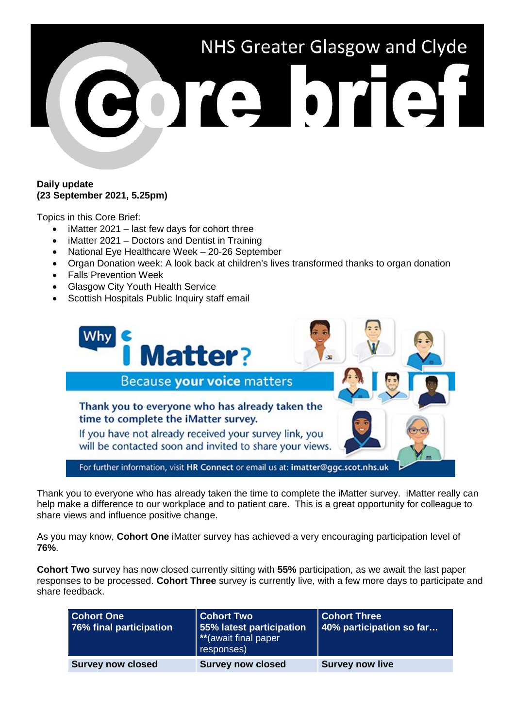# NHS Greater Glasgow and Clyde e brief

#### **Daily update (23 September 2021, 5.25pm)**

Topics in this Core Brief:

- iMatter 2021 last few days for cohort three
- iMatter 2021 Doctors and Dentist in Training
- National Eye Healthcare Week 20-26 September
- Organ Donation week: A look back at children's lives transformed thanks to organ donation
- Falls Prevention Week
- Glasgow City Youth Health Service
- Scottish Hospitals Public Inquiry staff email



Thank you to everyone who has already taken the time to complete the iMatter survey. iMatter really can help make a difference to our workplace and to patient care. This is a great opportunity for colleague to share views and influence positive change.

As you may know, **Cohort One** iMatter survey has achieved a very encouraging participation level of **76%**.

**Cohort Two** survey has now closed currently sitting with **55%** participation, as we await the last paper responses to be processed. **Cohort Three** survey is currently live, with a few more days to participate and share feedback.

| <b>Cohort One</b><br>76% final participation | <b>Cohort Two</b><br>55% latest participation<br>**(await final paper<br>responses) | <b>Cohort Three</b><br>40% participation so far |
|----------------------------------------------|-------------------------------------------------------------------------------------|-------------------------------------------------|
| <b>Survey now closed</b>                     | <b>Survey now closed</b>                                                            | <b>Survey now live</b>                          |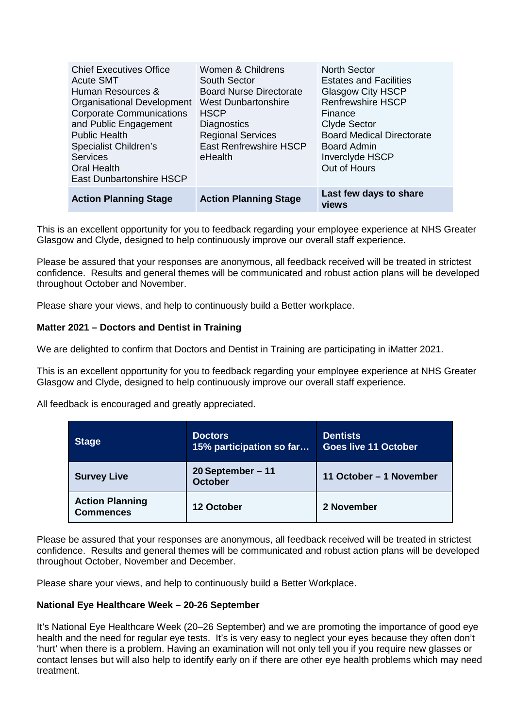| <b>Chief Executives Office</b><br><b>Acute SMT</b><br>Human Resources &<br>Organisational Development<br><b>Corporate Communications</b><br>and Public Engagement<br><b>Public Health</b><br><b>Specialist Children's</b><br><b>Services</b><br><b>Oral Health</b><br><b>East Dunbartonshire HSCP</b> | Women & Childrens<br>South Sector<br><b>Board Nurse Directorate</b><br><b>West Dunbartonshire</b><br><b>HSCP</b><br><b>Diagnostics</b><br><b>Regional Services</b><br><b>East Renfrewshire HSCP</b><br>eHealth | <b>North Sector</b><br><b>Estates and Facilities</b><br><b>Glasgow City HSCP</b><br><b>Renfrewshire HSCP</b><br>Finance<br><b>Clyde Sector</b><br><b>Board Medical Directorate</b><br><b>Board Admin</b><br><b>Inverclyde HSCP</b><br>Out of Hours |
|-------------------------------------------------------------------------------------------------------------------------------------------------------------------------------------------------------------------------------------------------------------------------------------------------------|----------------------------------------------------------------------------------------------------------------------------------------------------------------------------------------------------------------|----------------------------------------------------------------------------------------------------------------------------------------------------------------------------------------------------------------------------------------------------|
| <b>Action Planning Stage</b>                                                                                                                                                                                                                                                                          | <b>Action Planning Stage</b>                                                                                                                                                                                   | Last few days to share<br>views                                                                                                                                                                                                                    |

This is an excellent opportunity for you to feedback regarding your employee experience at NHS Greater Glasgow and Clyde, designed to help continuously improve our overall staff experience.

Please be assured that your responses are anonymous, all feedback received will be treated in strictest confidence. Results and general themes will be communicated and robust action plans will be developed throughout October and November.

Please share your views, and help to continuously build a Better workplace.

## **Matter 2021 – Doctors and Dentist in Training**

We are delighted to confirm that Doctors and Dentist in Training are participating in iMatter 2021.

This is an excellent opportunity for you to feedback regarding your employee experience at NHS Greater Glasgow and Clyde, designed to help continuously improve our overall staff experience.

All feedback is encouraged and greatly appreciated.

| <b>Stage</b>                               | <b>Doctors</b><br>15% participation so far | <b>Dentists</b><br><b>Goes live 11 October</b> |
|--------------------------------------------|--------------------------------------------|------------------------------------------------|
| <b>Survey Live</b>                         | 20 September $-11$<br><b>October</b>       | 11 October - 1 November                        |
| <b>Action Planning</b><br><b>Commences</b> | 12 October                                 | 2 November                                     |

Please be assured that your responses are anonymous, all feedback received will be treated in strictest confidence. Results and general themes will be communicated and robust action plans will be developed throughout October, November and December.

Please share your views, and help to continuously build a Better Workplace.

#### **National Eye Healthcare Week – 20-26 September**

It's National Eye Healthcare Week (20–26 September) and we are promoting the importance of good eye health and the need for regular eye tests. It's is very easy to neglect your eyes because they often don't 'hurt' when there is a problem. Having an examination will not only tell you if you require new glasses or contact lenses but will also help to identify early on if there are other eye health problems which may need treatment.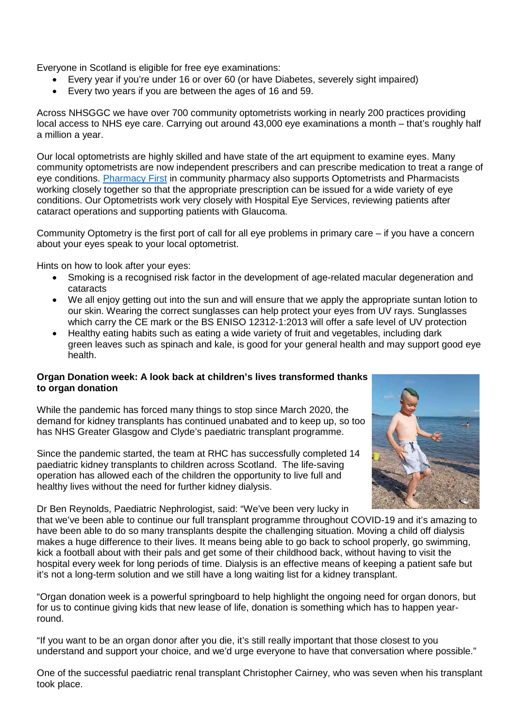Everyone in Scotland is eligible for free eye examinations:

- Every year if you're under 16 or over 60 (or have Diabetes, severely sight impaired)
- Every two years if you are between the ages of 16 and 59.

Across NHSGGC we have over 700 community optometrists working in nearly 200 practices providing local access to NHS eye care. Carrying out around 43,000 eye examinations a month – that's roughly half a million a year.

Our local optometrists are highly skilled and have state of the art equipment to examine eyes. Many community optometrists are now independent prescribers and can prescribe medication to treat a range of eye conditions. [Pharmacy First](https://www.nhsggc.org.uk/your-health/know-who-to-turn-to/pharmacist/pharmacy-first/) in community pharmacy also supports Optometrists and Pharmacists working closely together so that the appropriate prescription can be issued for a wide variety of eye conditions. Our Optometrists work very closely with Hospital Eye Services, reviewing patients after cataract operations and supporting patients with Glaucoma.

Community Optometry is the first port of call for all eye problems in primary care – if you have a concern about your eyes speak to your local optometrist.

Hints on how to look after your eyes:

- Smoking is a recognised risk factor in the development of age-related macular degeneration and cataracts
- We all enjoy getting out into the sun and will ensure that we apply the appropriate suntan lotion to our skin. Wearing the correct sunglasses can help protect your eyes from UV rays. Sunglasses which carry the CE mark or the BS ENISO 12312-1:2013 will offer a safe level of UV protection
- Healthy eating habits such as eating a wide variety of fruit and vegetables, including dark green leaves such as spinach and kale, is good for your general health and may support good eye health.

#### **Organ Donation week: A look back at children's lives transformed thanks to organ donation**

While the pandemic has forced many things to stop since March 2020, the demand for kidney transplants has continued unabated and to keep up, so too has NHS Greater Glasgow and Clyde's paediatric transplant programme.

Since the pandemic started, the team at RHC has successfully completed 14 paediatric kidney transplants to children across Scotland. The life-saving operation has allowed each of the children the opportunity to live full and healthy lives without the need for further kidney dialysis.



Dr Ben Reynolds, Paediatric Nephrologist, said: "We've been very lucky in

that we've been able to continue our full transplant programme throughout COVID-19 and it's amazing to have been able to do so many transplants despite the challenging situation. Moving a child off dialysis makes a huge difference to their lives. It means being able to go back to school properly, go swimming, kick a football about with their pals and get some of their childhood back, without having to visit the hospital every week for long periods of time. Dialysis is an effective means of keeping a patient safe but it's not a long-term solution and we still have a long waiting list for a kidney transplant.

"Organ donation week is a powerful springboard to help highlight the ongoing need for organ donors, but for us to continue giving kids that new lease of life, donation is something which has to happen yearround.

"If you want to be an organ donor after you die, it's still really important that those closest to you understand and support your choice, and we'd urge everyone to have that conversation where possible."

One of the successful paediatric renal transplant Christopher Cairney, who was seven when his transplant took place.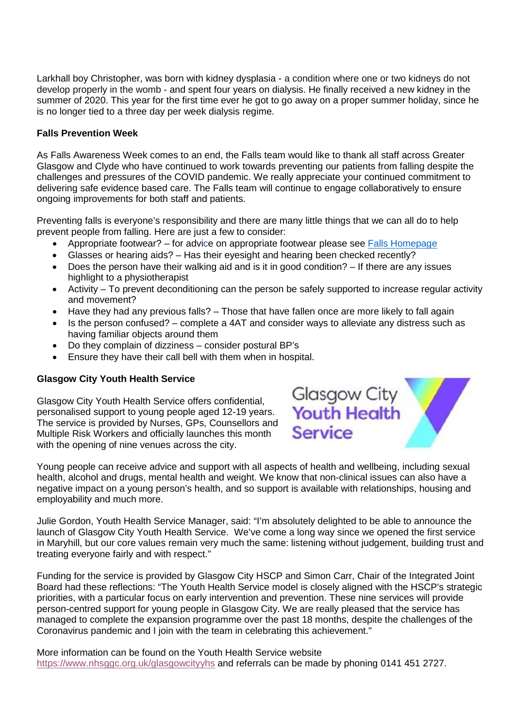Larkhall boy Christopher, was born with kidney dysplasia - a condition where one or two kidneys do not develop properly in the womb - and spent four years on dialysis. He finally received a new kidney in the summer of 2020. This year for the first time ever he got to go away on a proper summer holiday, since he is no longer tied to a three day per week dialysis regime.

#### **Falls Prevention Week**

As Falls Awareness Week comes to an end, the Falls team would like to thank all staff across Greater Glasgow and Clyde who have continued to work towards preventing our patients from falling despite the challenges and pressures of the COVID pandemic. We really appreciate your continued commitment to delivering safe evidence based care. The Falls team will continue to engage collaboratively to ensure ongoing improvements for both staff and patients.

Preventing falls is everyone's responsibility and there are many little things that we can all do to help prevent people from falling. Here are just a few to consider:

- Appropriate footwear? for advice on appropriate footwear please see [Falls Homepage](https://www.nhsggc.org.uk/your-health/health-services/osteoporosis-and-falls-prevention-services/)
- Glasses or hearing aids? Has their eyesight and hearing been checked recently?
- Does the person have their walking aid and is it in good condition? If there are any issues highlight to a physiotherapist
- Activity To prevent deconditioning can the person be safely supported to increase regular activity and movement?
- Have they had any previous falls? Those that have fallen once are more likely to fall again
- Is the person confused? complete a 4AT and consider ways to alleviate any distress such as having familiar objects around them
- Do they complain of dizziness consider postural BP's
- Ensure they have their call bell with them when in hospital.

# **Glasgow City Youth Health Service**

Glasgow City Youth Health Service offers confidential, personalised support to young people aged 12-19 years. The service is provided by Nurses, GPs, Counsellors and Multiple Risk Workers and officially launches this month with the opening of nine venues across the city.

**Glasgow City Youth Health Service** 

Young people can receive advice and support with all aspects of health and wellbeing, including sexual health, alcohol and drugs, mental health and weight. We know that non-clinical issues can also have a negative impact on a young person's health, and so support is available with relationships, housing and employability and much more.

Julie Gordon, Youth Health Service Manager, said: "I'm absolutely delighted to be able to announce the launch of Glasgow City Youth Health Service. We've come a long way since we opened the first service in Maryhill, but our core values remain very much the same: listening without judgement, building trust and treating everyone fairly and with respect."

Funding for the service is provided by Glasgow City HSCP and Simon Carr, Chair of the Integrated Joint Board had these reflections: "The Youth Health Service model is closely aligned with the HSCP's strategic priorities, with a particular focus on early intervention and prevention. These nine services will provide person-centred support for young people in Glasgow City. We are really pleased that the service has managed to complete the expansion programme over the past 18 months, despite the challenges of the Coronavirus pandemic and I join with the team in celebrating this achievement."

More information can be found on the Youth Health Service website <https://www.nhsggc.org.uk/glasgowcityyhs> and referrals can be made by phoning 0141 451 2727.